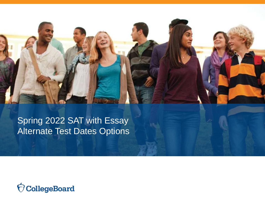Spring 2022 SAT with Essay Alternate Test Dates Options

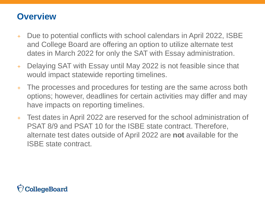### **Overview**

- Due to potential conflicts with school calendars in April 2022, ISBE and College Board are offering an option to utilize alternate test dates in March 2022 for only the SAT with Essay administration.
- + Delaying SAT with Essay until May 2022 is not feasible since that would impact statewide reporting timelines.
- + The processes and procedures for testing are the same across both options; however, deadlines for certain activities may differ and may have impacts on reporting timelines.
- + Test dates in April 2022 are reserved for the school administration of PSAT 8/9 and PSAT 10 for the ISBE state contract. Therefore, alternate test dates outside of April 2022 are **not** available for the ISBE state contract.

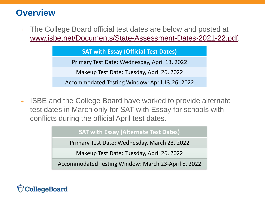### **Overview**

+ The College Board official test dates are below and posted at [www.isbe.net/Documents/State-Assessment-Dates-2021-22.pdf.](http://www.isbe.net/Documents/State-Assessment-Dates-2021-22.pdf)

#### **SAT with Essay (Official Test Dates)**

Primary Test Date: Wednesday, April 13, 2022

Makeup Test Date: Tuesday, April 26, 2022

Accommodated Testing Window: April 13-26, 2022

+ ISBE and the College Board have worked to provide alternate test dates in March only for SAT with Essay for schools with conflicts during the official April test dates.

#### **SAT with Essay (Alternate Test Dates)**

Primary Test Date: Wednesday, March 23, 2022

Makeup Test Date: Tuesday, April 26, 2022

Accommodated Testing Window: March 23-April 5, 2022

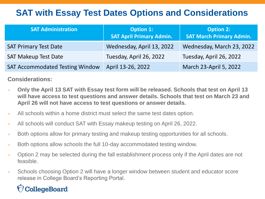## **SAT with Essay Test Dates Options and Considerations**

| <b>SAT Administration</b>              | <b>Option 1:</b><br><b>SAT April Primary Admin.</b> | <b>Option 2:</b><br><b>SAT March Primary Admin.</b> |
|----------------------------------------|-----------------------------------------------------|-----------------------------------------------------|
| <b>SAT Primary Test Date</b>           | Wednesday, April 13, 2022                           | Wednesday, March 23, 2022                           |
| <b>SAT Makeup Test Date</b>            | Tuesday, April 26, 2022                             | Tuesday, April 26, 2022                             |
| <b>SAT Accommodated Testing Window</b> | April 13-26, 2022                                   | March 23-April 5, 2022                              |

### **Considerations:**

- + **Only the April 13 SAT with Essay test form will be released. Schools that test on April 13 will have access to test questions and answer details. Schools that test on March 23 and April 26 will not have access to test questions or answer details.**
- + All schools within a home district must select the same test dates option.
- + All schools will conduct SAT with Essay makeup testing on April 26, 2022.
- + Both options allow for primary testing and makeup testing opportunities for all schools.
- + Both options allow schools the full 10-day accommodated testing window.
- + Option 2 may be selected during the fall establishment process only if the April dates are not feasible.
- + Schools choosing Option 2 will have a longer window between student and educator score release in College Board's Reporting Portal.

## CollegeBoard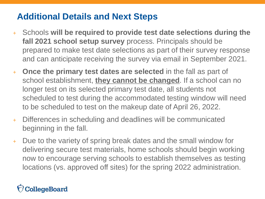## **Additional Details and Next Steps**

- + Schools **will be required to provide test date selections during the fall 2021 school setup survey** process. Principals should be prepared to make test date selections as part of their survey response and can anticipate receiving the survey via email in September 2021.
- + **Once the primary test dates are selected** in the fall as part of school establishment, **they cannot be changed**. If a school can no longer test on its selected primary test date, all students not scheduled to test during the accommodated testing window will need to be scheduled to test on the makeup date of April 26, 2022.
- + Differences in scheduling and deadlines will be communicated beginning in the fall.
- + Due to the variety of spring break dates and the small window for delivering secure test materials, home schools should begin working now to encourage serving schools to establish themselves as testing locations (vs. approved off sites) for the spring 2022 administration.

# CollegeBoard